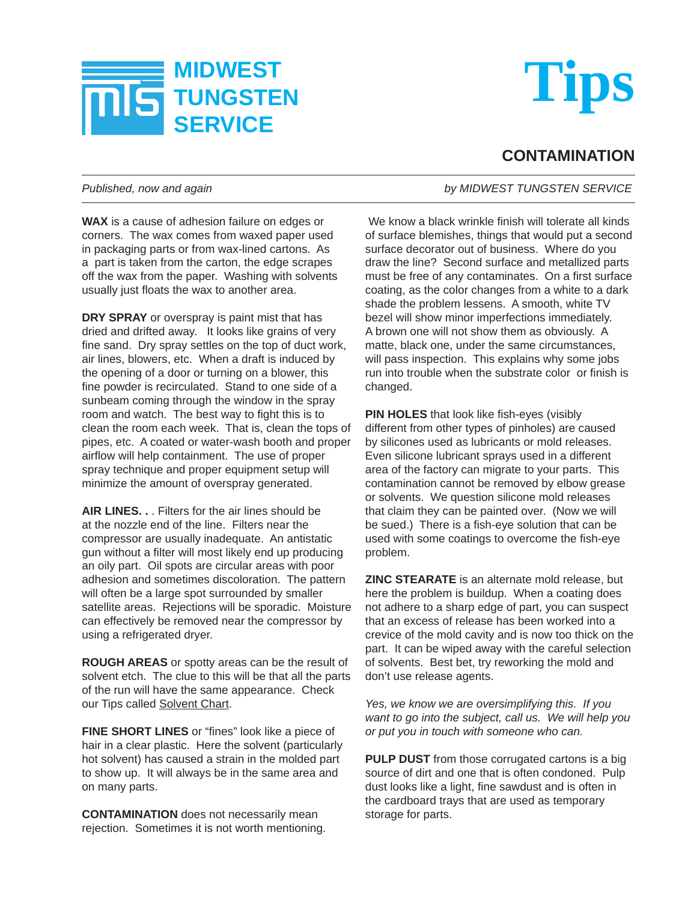



## **CONTAMINATION**

## *Published, now and again by MIDWEST TUNGSTEN SERVICE*

**WAX** is a cause of adhesion failure on edges or corners. The wax comes from waxed paper used in packaging parts or from wax-lined cartons. As a part is taken from the carton, the edge scrapes off the wax from the paper. Washing with solvents usually just floats the wax to another area.

**DRY SPRAY** or overspray is paint mist that has dried and drifted away. It looks like grains of very fine sand. Dry spray settles on the top of duct work, air lines, blowers, etc. When a draft is induced by the opening of a door or turning on a blower, this fine powder is recirculated. Stand to one side of a sunbeam coming through the window in the spray room and watch. The best way to fight this is to clean the room each week. That is, clean the tops of pipes, etc. A coated or water-wash booth and proper airflow will help containment. The use of proper spray technique and proper equipment setup will minimize the amount of overspray generated.

**AIR LINES. .** . Filters for the air lines should be at the nozzle end of the line. Filters near the compressor are usually inadequate. An antistatic qun without a filter will most likely end up producing an oily part. Oil spots are circular areas with poor adhesion and sometimes discoloration. The pattern will often be a large spot surrounded by smaller satellite areas. Rejections will be sporadic. Moisture can effectively be removed near the compressor by using a refrigerated dryer.

**ROUGH AREAS** or spotty areas can be the result of solvent etch. The clue to this will be that all the parts of the run will have the same appearance. Check our Tips called Solvent Chart.

**FINE SHORT LINES** or "fines" look like a piece of hair in a clear plastic. Here the solvent (particularly hot solvent) has caused a strain in the molded part to show up. It will always be in the same area and on many parts.

**CONTAMINATION** does not necessarily mean rejection. Sometimes it is not worth mentioning.

We know a black wrinkle finish will tolerate all kinds of surface blemishes, things that would put a second surface decorator out of business. Where do you draw the line? Second surface and metallized parts must be free of any contaminates. On a first surface coating, as the color changes from a white to a dark shade the problem lessens. A smooth, white TV bezel will show minor imperfections immediately. A brown one will not show them as obviously. A matte, black one, under the same circumstances, will pass inspection. This explains why some jobs run into trouble when the substrate color or finish is changed.

**PIN HOLES** that look like fish-eyes (visibly different from other types of pinholes) are caused by silicones used as lubricants or mold releases. Even silicone lubricant sprays used in a different area of the factory can migrate to your parts. This contamination cannot be removed by elbow grease or solvents. We question silicone mold releases that claim they can be painted over. (Now we will be sued.) There is a fish-eye solution that can be used with some coatings to overcome the fish-eye problem.

**ZINC STEARATE** is an alternate mold release, but here the problem is buildup. When a coating does not adhere to a sharp edge of part, you can suspect that an excess of release has been worked into a crevice of the mold cavity and is now too thick on the part. It can be wiped away with the careful selection of solvents. Best bet, try reworking the mold and don't use release agents.

*Yes, we know we are oversimplifying this. If you want to go into the subject, call us. We will help you or put you in touch with someone who can.*

**PULP DUST** from those corrugated cartons is a big source of dirt and one that is often condoned. Pulp dust looks like a light, fine sawdust and is often in the cardboard trays that are used as temporary storage for parts.